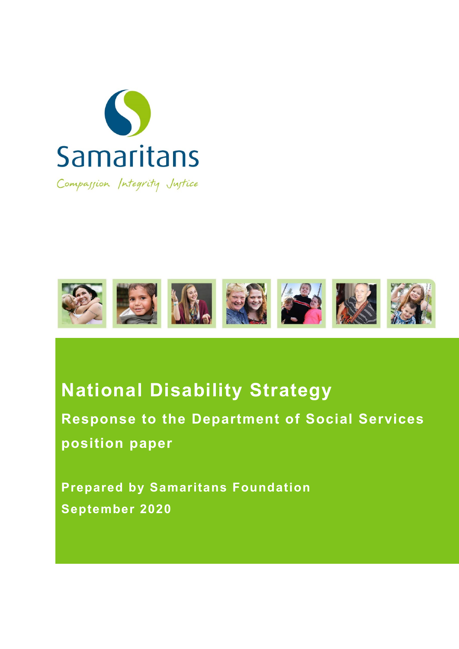



# **National Disability Strategy**

**Response to the Department of Social Services position paper**

**Prepared by Samaritans Foundation September 2020**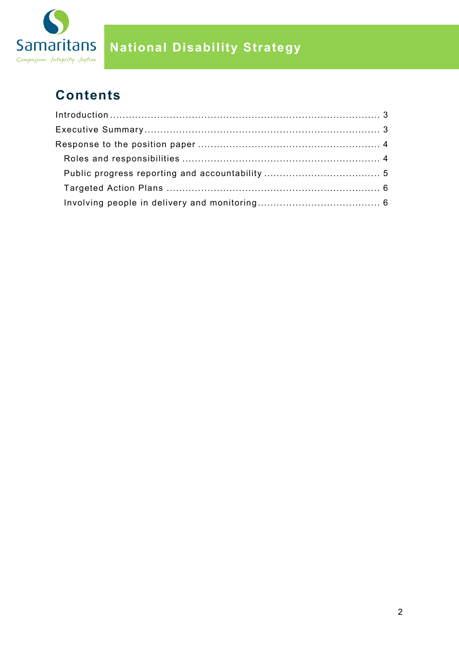

## **National Disability Strategy**

## **Contents**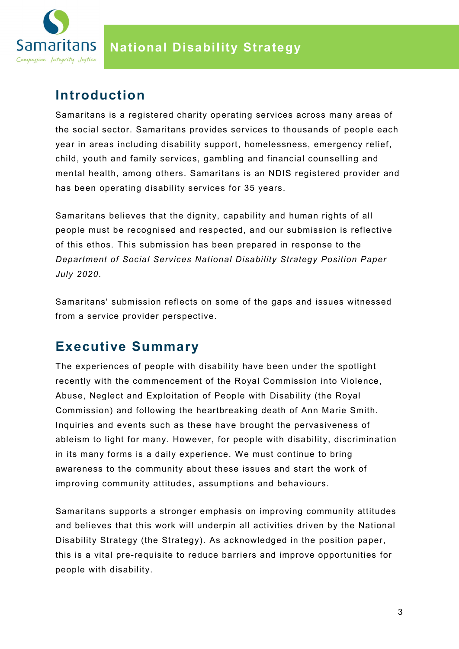

## <span id="page-2-0"></span>**Introduction**

Samaritans is a registered charity operating services across many areas of the social sector. Samaritans provides services to thousands of people each year in areas including disability support, homelessness, emergency relief, child, youth and family services, gambling and financial counselling and mental health, among others. Samaritans is an NDIS registered provider and has been operating disability services for 35 years.

Samaritans believes that the dignity, capability and human rights of all people must be recognised and respected, and our submission is reflective of this ethos. This submission has been prepared in response to the *Department of Social Services National Disability Strategy Position Paper July 2020*.

Samaritans' submission reflects on some of the gaps and issues witnessed from a service provider perspective.

## <span id="page-2-1"></span>**Executive Summary**

The experiences of people with disability have been under the spotlight recently with the commencement of the Royal Commission into Violence, Abuse, Neglect and Exploitation of People with Disability (the Royal Commission) and following the heartbreaking death of Ann Marie Smith. Inquiries and events such as these have brought the pervasiveness of ableism to light for many. However, for people with disability, discrimination in its many forms is a daily experience. We must continue to bring awareness to the community about these issues and start the work of improving community attitudes, assumptions and behaviours.

Samaritans supports a stronger emphasis on improving community attitudes and believes that this work will underpin all activities driven by the National Disability Strategy (the Strategy). As acknowledged in the position paper, this is a vital pre-requisite to reduce barriers and improve opportunities for people with disability.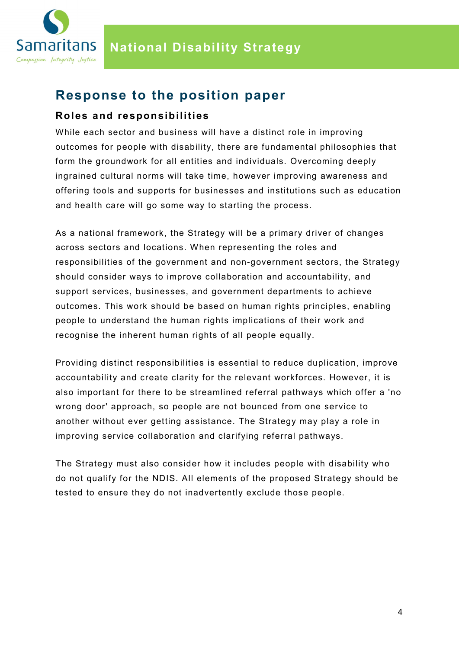

### <span id="page-3-0"></span>**Response to the position paper**

#### <span id="page-3-1"></span>**Roles and responsibilities**

While each sector and business will have a distinct role in improving outcomes for people with disability, there are fundamental philosophies that form the groundwork for all entities and individuals. Overcoming deeply ingrained cultural norms will take time, however improving awareness and offering tools and supports for businesses and institutions such as education and health care will go some way to starting the process.

As a national framework, the Strategy will be a primary driver of changes across sectors and locations. When representing the roles and responsibilities of the government and non-government sectors, the Strategy should consider ways to improve collaboration and accountability, and support services, businesses, and government departments to achieve outcomes. This work should be based on human rights principles, enabling people to understand the human rights implications of their work and recognise the inherent human rights of all people equally.

Providing distinct responsibilities is essential to reduce duplication, improve accountability and create clarity for the relevant workforces. However, it is also important for there to be streamlined referral pathways which offer a 'no wrong door' approach, so people are not bounced from one service to another without ever getting assistance. The Strategy may play a role in improving service collaboration and clarifying referral pathways.

The Strategy must also consider how it includes people with disability who do not qualify for the NDIS. All elements of the proposed Strategy should be tested to ensure they do not inadvertently exclude those people.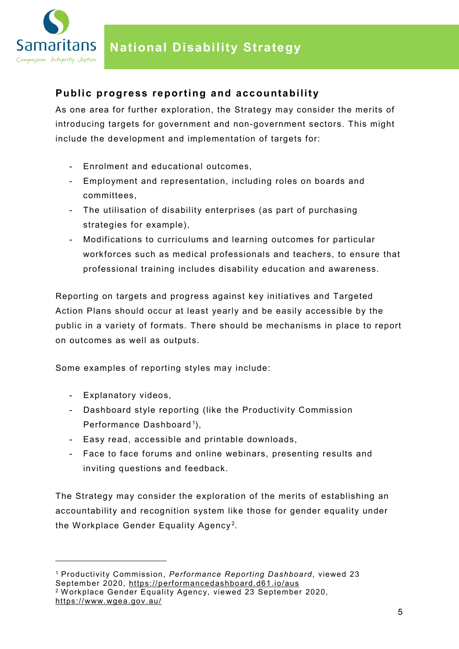

#### <span id="page-4-0"></span>**Public progress reporting and accountability**

As one area for further exploration, the Strategy may consider the merits of introducing targets for government and non-government sectors. This might include the development and implementation of targets for:

- Enrolment and educational outcomes,
- Employment and representation, including roles on boards and committees,
- The utilisation of disability enterprises (as part of purchasing strategies for example),
- Modifications to curriculums and learning outcomes for particular workforces such as medical professionals and teachers, to ensure that professional training includes disability education and awareness.

Reporting on targets and progress against key initiatives and Targeted Action Plans should occur at least yearly and be easily accessible by the public in a variety of formats. There should be mechanisms in place to report on outcomes as well as outputs.

Some examples of reporting styles may include:

- Explanatory videos,

-

- Dashboard style reporting (like the Productivity Commission Performance Dashboard<sup>[1](#page-4-1)</sup>),
- Easy read, accessible and printable downloads,
- Face to face forums and online webinars, presenting results and inviting questions and feedback.

The Strategy may consider the exploration of the merits of establishing an accountability and recognition system like those for gender equality under the Workplace Gender Equality Agency $^{\rm 2}$  $^{\rm 2}$  $^{\rm 2}$ .

<span id="page-4-2"></span><span id="page-4-1"></span><sup>1</sup> Productivity Commission, *Performance Reporting Dashboard*, viewed 23 September 2020,<https://performancedashboard.d61.io/aus> <sup>2</sup> Workplace Gender Equality Agency, viewed 23 September 2020, <https://www.wgea.gov.au/>